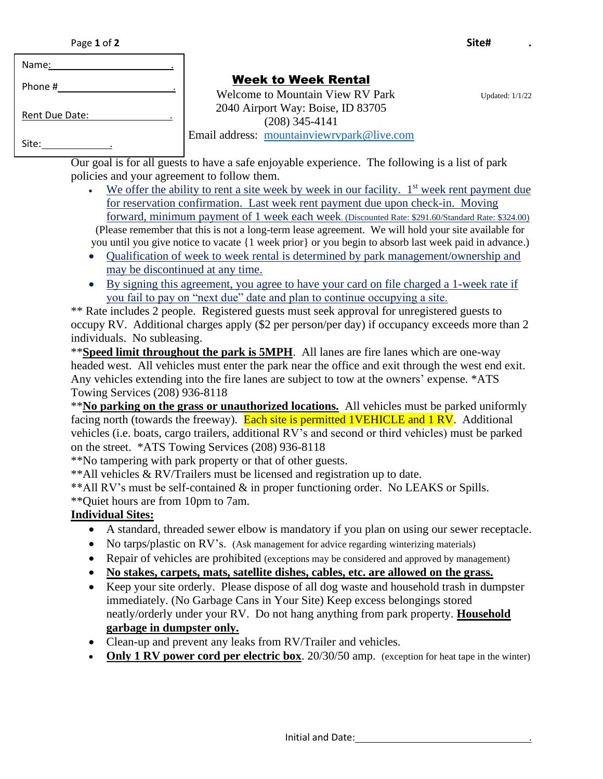| Page 1 of 2 | Site# |  |
|-------------|-------|--|
|             |       |  |

| Name:                 |  |
|-----------------------|--|
| Phone #               |  |
| <b>Rent Due Date:</b> |  |
| Site:                 |  |

# Week to Week Rental

Welcome to Mountain View RV Park Updated: 1/1/22 2040 Airport Way: Boise, ID 83705 (208) 345-4141 Email address: [mountainviewrvpark@live.com](mailto:mountainviewrvpark@live.com)

Our goal is for all guests to have a safe enjoyable experience. The following is a list of park policies and your agreement to follow them.

- We offer the ability to rent a site week by week in our facility.  $1<sup>st</sup>$  week rent payment due for reservation confirmation. Last week rent payment due upon check-in. Moving forward, minimum payment of 1 week each week. (Discounted Rate: \$291.60/Standard Rate: \$324.00) (Please remember that this is not a long-term lease agreement. We will hold your site available for you until you give notice to vacate {1 week prior} or you begin to absorb last week paid in advance.)
- Oualification of week to week rental is determined by park management/ownership and may be discontinued at any time.
- By signing this agreement, you agree to have your card on file charged a 1-week rate if you fail to pay on "next due" date and plan to continue occupying a site.

\*\* Rate includes 2 people. Registered guests must seek approval for unregistered guests to occupy RV. Additional charges apply (\$2 per person/per day) if occupancy exceeds more than 2 individuals. No subleasing.

\*\***Speed limit throughout the park is 5MPH**. All lanes are fire lanes which are one-way headed west. All vehicles must enter the park near the office and exit through the west end exit. Any vehicles extending into the fire lanes are subject to tow at the owners' expense. \*ATS Towing Services (208) 936-8118

\*\***No parking on the grass or unauthorized locations.** All vehicles must be parked uniformly facing north (towards the freeway). Each site is permitted 1VEHICLE and 1 RV. Additional vehicles (i.e. boats, cargo trailers, additional RV's and second or third vehicles) must be parked on the street. \*ATS Towing Services (208) 936-8118

\*\*No tampering with park property or that of other guests.

\*\*All vehicles & RV/Trailers must be licensed and registration up to date.

\*\*All RV's must be self-contained & in proper functioning order. No LEAKS or Spills.

\*\*Quiet hours are from 10pm to 7am.

## **Individual Sites:**

- A standard, threaded sewer elbow is mandatory if you plan on using our sewer receptacle.
- No tarps/plastic on RV's. (Ask management for advice regarding winterizing materials)
- Repair of vehicles are prohibited (exceptions may be considered and approved by management)
- **No stakes, carpets, mats, satellite dishes, cables, etc. are allowed on the grass.**
- Keep your site orderly. Please dispose of all dog waste and household trash in dumpster immediately. (No Garbage Cans in Your Site) Keep excess belongings stored neatly/orderly under your RV. Do not hang anything from park property. **Household garbage in dumpster only.**
- Clean-up and prevent any leaks from RV/Trailer and vehicles.
- **Only 1 RV power cord per electric box**. 20/30/50 amp. (exception for heat tape in the winter)